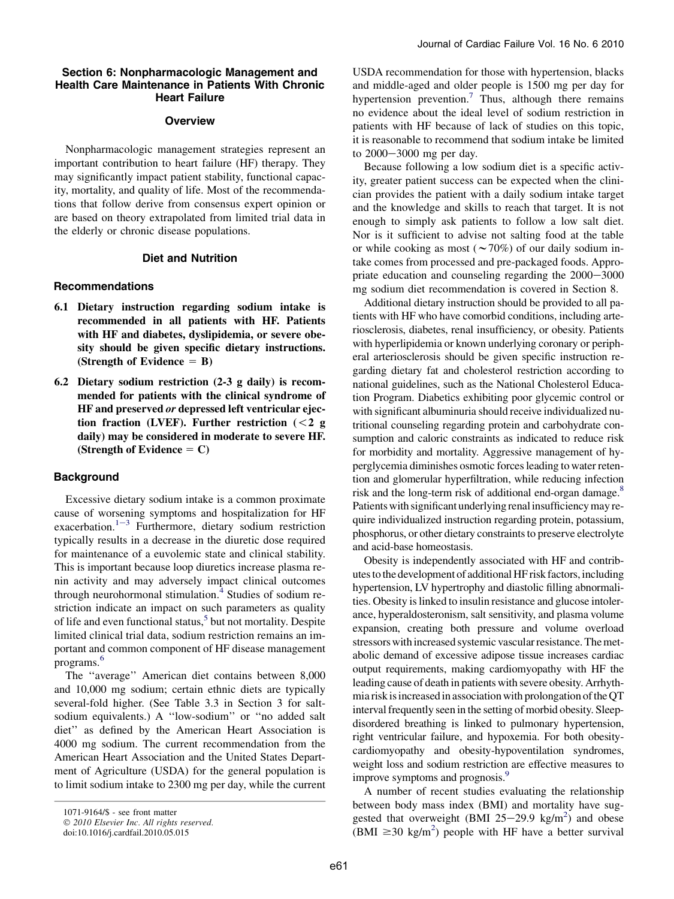## Section 6: Nonpharmacologic Management and Health Care Maintenance in Patients With Chronic Heart Failure

## **Overview**

Nonpharmacologic management strategies represent an important contribution to heart failure (HF) therapy. They may significantly impact patient stability, functional capacity, mortality, and quality of life. Most of the recommendations that follow derive from consensus expert opinion or are based on theory extrapolated from limited trial data in the elderly or chronic disease populations.

# Diet and Nutrition

# Recommendations

- 6.1 Dietary instruction regarding sodium intake is recommended in all patients with HF. Patients with HF and diabetes, dyslipidemia, or severe obesity should be given specific dietary instructions. (Strength of Evidence  $=$  B)
- 6.2 Dietary sodium restriction (2-3 g daily) is recommended for patients with the clinical syndrome of HF and preserved or depressed left ventricular ejection fraction (LVEF). Further restriction  $(< 2 g$ daily) may be considered in moderate to severe HF. (Strength of Evidence  $= C$ )

### Background

Excessive dietary sodium intake is a common proximate cause of worsening symptoms and hospitalization for HF [e](#page-8-0)xacerbation.<sup>1-3</sup> Furthermore, dietary sodium restriction typically results in a decrease in the diuretic dose required for maintenance of a euvolemic state and clinical stability. This is important because loop diuretics increase plasma renin activity and may adversely impact clinical outcomes through neurohormonal stimulation.<sup>[4](#page-8-0)</sup> Studies of sodium restriction indicate an impact on such parameters as quality of life and even functional status,<sup>[5](#page-8-0)</sup> but not mortality. Despite limited clinical trial data, sodium restriction remains an important and common component of HF disease management programs.[6](#page-8-0)

The ''average'' American diet contains between 8,000 and 10,000 mg sodium; certain ethnic diets are typically several-fold higher. (See Table 3.3 in Section 3 for saltsodium equivalents.) A ''low-sodium'' or ''no added salt diet'' as defined by the American Heart Association is 4000 mg sodium. The current recommendation from the American Heart Association and the United States Department of Agriculture (USDA) for the general population is to limit sodium intake to 2300 mg per day, while the current USDA recommendation for those with hypertension, blacks and middle-aged and older people is 1500 mg per day for hypertension prevention.<sup>7</sup> Thus, although there remains no evidence about the ideal level of sodium restriction in patients with HF because of lack of studies on this topic, it is reasonable to recommend that sodium intake be limited to 2000–3000 mg per day.

Because following a low sodium diet is a specific activity, greater patient success can be expected when the clinician provides the patient with a daily sodium intake target and the knowledge and skills to reach that target. It is not enough to simply ask patients to follow a low salt diet. Nor is it sufficient to advise not salting food at the table or while cooking as most ( $\sim$ 70%) of our daily sodium intake comes from processed and pre-packaged foods. Appropriate education and counseling regarding the  $2000-3000$ mg sodium diet recommendation is covered in Section 8.

Additional dietary instruction should be provided to all patients with HF who have comorbid conditions, including arteriosclerosis, diabetes, renal insufficiency, or obesity. Patients with hyperlipidemia or known underlying coronary or peripheral arteriosclerosis should be given specific instruction regarding dietary fat and cholesterol restriction according to national guidelines, such as the National Cholesterol Education Program. Diabetics exhibiting poor glycemic control or with significant albuminuria should receive individualized nutritional counseling regarding protein and carbohydrate consumption and caloric constraints as indicated to reduce risk for morbidity and mortality. Aggressive management of hyperglycemia diminishes osmotic forces leading to water retention and glomerular hyperfiltration, while reducing infection risk and the long-term risk of additional end-organ damage.<sup>8</sup> Patients with significant underlying renalinsufficiency may require individualized instruction regarding protein, potassium, phosphorus, or other dietary constraints to preserve electrolyte and acid-base homeostasis.

Obesity is independently associated with HF and contributes to the development of additional HF risk factors, including hypertension, LV hypertrophy and diastolic filling abnormalities. Obesity is linked to insulin resistance and glucose intolerance, hyperaldosteronism, salt sensitivity, and plasma volume expansion, creating both pressure and volume overload stressors with increased systemic vascular resistance. The metabolic demand of excessive adipose tissue increases cardiac output requirements, making cardiomyopathy with HF the leading cause of death in patients with severe obesity. Arrhythmia risk is increased in association with prolongation of the QT interval frequently seen in the setting of morbid obesity. Sleepdisordered breathing is linked to pulmonary hypertension, right ventricular failure, and hypoxemia. For both obesitycardiomyopathy and obesity-hypoventilation syndromes, weight loss and sodium restriction are effective measures to improve symptoms and prognosis.<sup>9</sup>

A number of recent studies evaluating the relationship between body mass index (BMI) and mortality have sug-gested that overweight (BMI [2](#page-8-0)5–29.9 kg/m<sup>2</sup>) and obese (BMI  $\geq$ 30 kg/m<sup>[2](#page-8-0)</sup>) people with HF have a better survival

<sup>1071-9164/\$ -</sup> see front matter

<sup>© 2010</sup> Elsevier Inc. All rights reserved.

doi:10.1016/j.cardfail.2010.05.015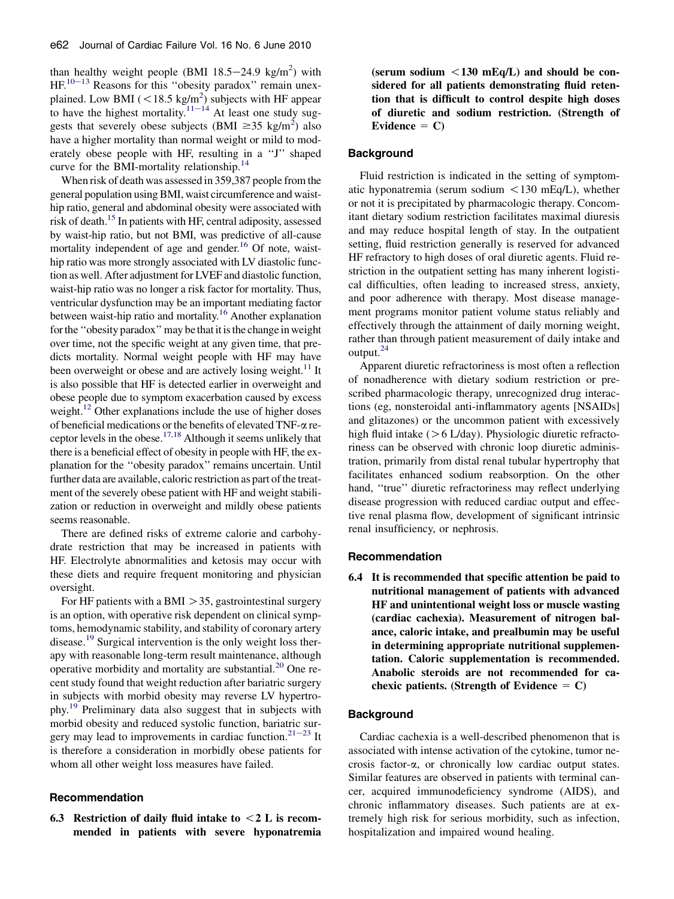than healthy weight people (BMI  $18.5-24.9$  $18.5-24.9$  $18.5-24.9$  kg/m<sup>2</sup>) with  $HF<sup>10–13</sup>$  $HF<sup>10–13</sup>$  $HF<sup>10–13</sup>$  Reasons for this "obesity paradox" remain unexplained. Low BMI ( $\langle 18.5 \text{ kg/m}^2 \rangle$  $\langle 18.5 \text{ kg/m}^2 \rangle$  $\langle 18.5 \text{ kg/m}^2 \rangle$  subjects with HF appear to have the highest mortality.<sup>[11](#page-8-0)-14</sup> At least one study suggests that severely obese subjects (BMI  $\geq$ 35 kg/m<sup>[2](#page-8-0)</sup>) also have a higher mortality than normal weight or mild to moderately obese people with HF, resulting in a ''J'' shaped curve for the BMI-mortality relationship.<sup>[14](#page-8-0)</sup>

When risk of death was assessed in 359,387 people from the general population using BMI, waist circumference and waisthip ratio, general and abdominal obesity were associated with risk of death[.15](#page-8-0) In patients with HF, central adiposity, assessed by waist-hip ratio, but not BMI, was predictive of all-cause mortality independent of age and gender.<sup>16</sup> Of note, waisthip ratio was more strongly associated with LV diastolic function as well. After adjustment for LVEF and diastolic function, waist-hip ratio was no longer a risk factor for mortality. Thus, ventricular dysfunction may be an important mediating factor between waist-hip ratio and mortality.<sup>16</sup> Another explanation for the "obesity paradox" may be that it is the change in weight over time, not the specific weight at any given time, that predicts mortality. Normal weight people with HF may have been overweight or obese and are actively losing weight.<sup>11</sup> It is also possible that HF is detected earlier in overweight and obese people due to symptom exacerbation caused by excess weight.<sup>12</sup> Other explanations include the use of higher doses of beneficial medications or the benefits of elevated TNF-a receptor levels in the obese.<sup>17,18</sup> Although it seems unlikely that there is a beneficial effect of obesity in people with HF, the explanation for the ''obesity paradox'' remains uncertain. Until further data are available, caloric restriction as part of the treatment of the severely obese patient with HF and weight stabilization or reduction in overweight and mildly obese patients seems reasonable.

There are defined risks of extreme calorie and carbohydrate restriction that may be increased in patients with HF. Electrolyte abnormalities and ketosis may occur with these diets and require frequent monitoring and physician oversight.

For HF patients with a BMI  $>$  35, gastrointestinal surgery is an option, with operative risk dependent on clinical symptoms, hemodynamic stability, and stability of coronary artery disease.<sup>[19](#page-8-0)</sup> Surgical intervention is the only weight loss therapy with reasonable long-term result maintenance, although operative morbidity and mortality are substantial. $^{20}$  $^{20}$  $^{20}$  One recent study found that weight reduction after bariatric surgery in subjects with morbid obesity may reverse LV hypertrophy.[19](#page-8-0) Preliminary data also suggest that in subjects with morbid obesity and reduced systolic function, bariatric sur-gery may lead to improvements in cardiac function.<sup>21-[23](#page-8-0)</sup> It is therefore a consideration in morbidly obese patients for whom all other weight loss measures have failed.

# Recommendation

6.3 Restriction of daily fluid intake to  $<$  2 L is recommended in patients with severe hyponatremia

(serum sodium  $\langle 130 \text{ mEq/L} \rangle$  and should be considered for all patients demonstrating fluid retention that is difficult to control despite high doses of diuretic and sodium restriction. (Strength of Evidence  $= C$ )

# **Background**

Fluid restriction is indicated in the setting of symptomatic hyponatremia (serum sodium  $\langle 130 \text{ mEq/L} \rangle$ , whether or not it is precipitated by pharmacologic therapy. Concomitant dietary sodium restriction facilitates maximal diuresis and may reduce hospital length of stay. In the outpatient setting, fluid restriction generally is reserved for advanced HF refractory to high doses of oral diuretic agents. Fluid restriction in the outpatient setting has many inherent logistical difficulties, often leading to increased stress, anxiety, and poor adherence with therapy. Most disease management programs monitor patient volume status reliably and effectively through the attainment of daily morning weight, rather than through patient measurement of daily intake and output.<sup>[24](#page-8-0)</sup>

Apparent diuretic refractoriness is most often a reflection of nonadherence with dietary sodium restriction or prescribed pharmacologic therapy, unrecognized drug interactions (eg, nonsteroidal anti-inflammatory agents [NSAIDs] and glitazones) or the uncommon patient with excessively high fluid intake ( $> 6$  L/day). Physiologic diuretic refractoriness can be observed with chronic loop diuretic administration, primarily from distal renal tubular hypertrophy that facilitates enhanced sodium reabsorption. On the other hand, "true" diuretic refractoriness may reflect underlying disease progression with reduced cardiac output and effective renal plasma flow, development of significant intrinsic renal insufficiency, or nephrosis.

#### Recommendation

6.4 It is recommended that specific attention be paid to nutritional management of patients with advanced HF and unintentional weight loss or muscle wasting (cardiac cachexia). Measurement of nitrogen balance, caloric intake, and prealbumin may be useful in determining appropriate nutritional supplementation. Caloric supplementation is recommended. Anabolic steroids are not recommended for cachexic patients. (Strength of Evidence  $= C$ )

### Background

Cardiac cachexia is a well-described phenomenon that is associated with intense activation of the cytokine, tumor necrosis factor- $\alpha$ , or chronically low cardiac output states. Similar features are observed in patients with terminal cancer, acquired immunodeficiency syndrome (AIDS), and chronic inflammatory diseases. Such patients are at extremely high risk for serious morbidity, such as infection, hospitalization and impaired wound healing.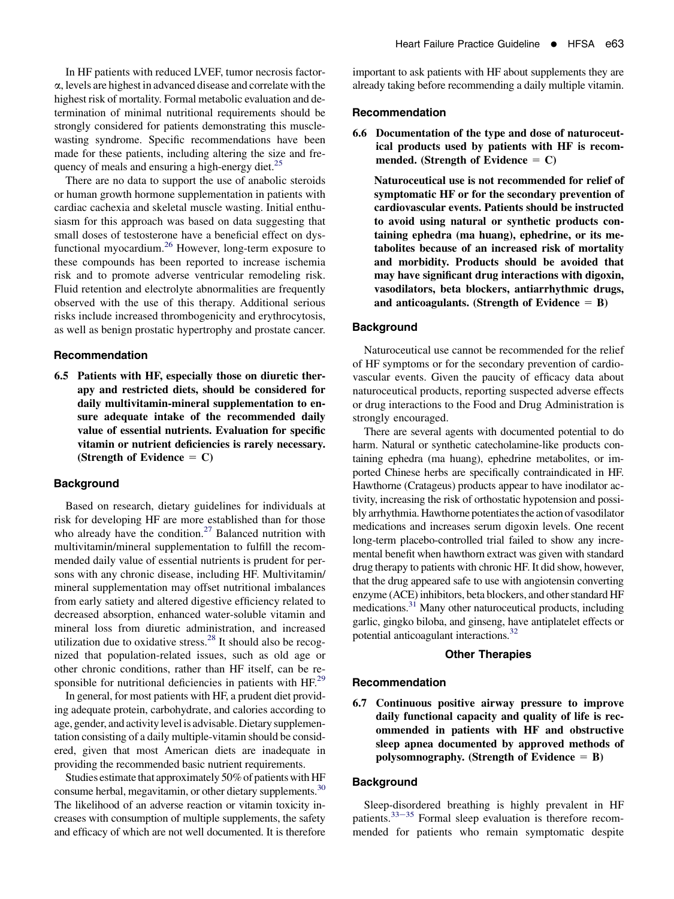In HF patients with reduced LVEF, tumor necrosis factora, levels are highest in advanced disease and correlate with the highest risk of mortality. Formal metabolic evaluation and determination of minimal nutritional requirements should be strongly considered for patients demonstrating this musclewasting syndrome. Specific recommendations have been made for these patients, including altering the size and fre-quency of meals and ensuring a high-energy diet.<sup>[25](#page-8-0)</sup>

There are no data to support the use of anabolic steroids or human growth hormone supplementation in patients with cardiac cachexia and skeletal muscle wasting. Initial enthusiasm for this approach was based on data suggesting that small doses of testosterone have a beneficial effect on dysfunctional myocardium.[26](#page-8-0) However, long-term exposure to these compounds has been reported to increase ischemia risk and to promote adverse ventricular remodeling risk. Fluid retention and electrolyte abnormalities are frequently observed with the use of this therapy. Additional serious risks include increased thrombogenicity and erythrocytosis, as well as benign prostatic hypertrophy and prostate cancer.

## Recommendation

6.5 Patients with HF, especially those on diuretic therapy and restricted diets, should be considered for daily multivitamin-mineral supplementation to ensure adequate intake of the recommended daily value of essential nutrients. Evaluation for specific vitamin or nutrient deficiencies is rarely necessary. (Strength of Evidence  $= C$ )

#### **Background**

Based on research, dietary guidelines for individuals at risk for developing HF are more established than for those who already have the condition.<sup>[27](#page-8-0)</sup> Balanced nutrition with multivitamin/mineral supplementation to fulfill the recommended daily value of essential nutrients is prudent for persons with any chronic disease, including HF. Multivitamin/ mineral supplementation may offset nutritional imbalances from early satiety and altered digestive efficiency related to decreased absorption, enhanced water-soluble vitamin and mineral loss from diuretic administration, and increased utilization due to oxidative stress. $28$  It should also be recognized that population-related issues, such as old age or other chronic conditions, rather than HF itself, can be responsible for nutritional deficiencies in patients with HF.<sup>29</sup>

In general, for most patients with HF, a prudent diet providing adequate protein, carbohydrate, and calories according to age, gender, and activity level is advisable. Dietary supplementation consisting of a daily multiple-vitamin should be considered, given that most American diets are inadequate in providing the recommended basic nutrient requirements.

Studies estimate that approximately 50% of patients with HF consume herbal, megavitamin, or other dietary supplements.<sup>[30](#page-8-0)</sup> The likelihood of an adverse reaction or vitamin toxicity increases with consumption of multiple supplements, the safety and efficacy of which are not well documented. It is therefore

important to ask patients with HF about supplements they are already taking before recommending a daily multiple vitamin.

#### Recommendation

6.6 Documentation of the type and dose of naturoceutical products used by patients with HF is recommended. (Strength of Evidence  $= C$ )

Naturoceutical use is not recommended for relief of symptomatic HF or for the secondary prevention of cardiovascular events. Patients should be instructed to avoid using natural or synthetic products containing ephedra (ma huang), ephedrine, or its metabolites because of an increased risk of mortality and morbidity. Products should be avoided that may have significant drug interactions with digoxin, vasodilators, beta blockers, antiarrhythmic drugs, and anticoagulants. (Strength of Evidence  $=$  B)

### **Background**

Naturoceutical use cannot be recommended for the relief of HF symptoms or for the secondary prevention of cardiovascular events. Given the paucity of efficacy data about naturoceutical products, reporting suspected adverse effects or drug interactions to the Food and Drug Administration is strongly encouraged.

There are several agents with documented potential to do harm. Natural or synthetic catecholamine-like products containing ephedra (ma huang), ephedrine metabolites, or imported Chinese herbs are specifically contraindicated in HF. Hawthorne (Cratageus) products appear to have inodilator activity, increasing the risk of orthostatic hypotension and possibly arrhythmia. Hawthorne potentiates the action of vasodilator medications and increases serum digoxin levels. One recent long-term placebo-controlled trial failed to show any incremental benefit when hawthorn extract was given with standard drug therapy to patients with chronic HF. It did show, however, that the drug appeared safe to use with angiotensin converting enzyme (ACE) inhibitors, beta blockers, and other standard HF medications[.31](#page-8-0) Many other naturoceutical products, including garlic, gingko biloba, and ginseng, have antiplatelet effects or potential anticoagulant interactions[.32](#page-8-0)

# Other Therapies

#### Recommendation

6.7 Continuous positive airway pressure to improve daily functional capacity and quality of life is recommended in patients with HF and obstructive sleep apnea documented by approved methods of polysomnography. (Strength of Evidence  $=$  B)

#### **Background**

Sleep-disordered breathing is highly prevalent in HF patients. $33-35$  $33-35$  Formal sleep evaluation is therefore recommended for patients who remain symptomatic despite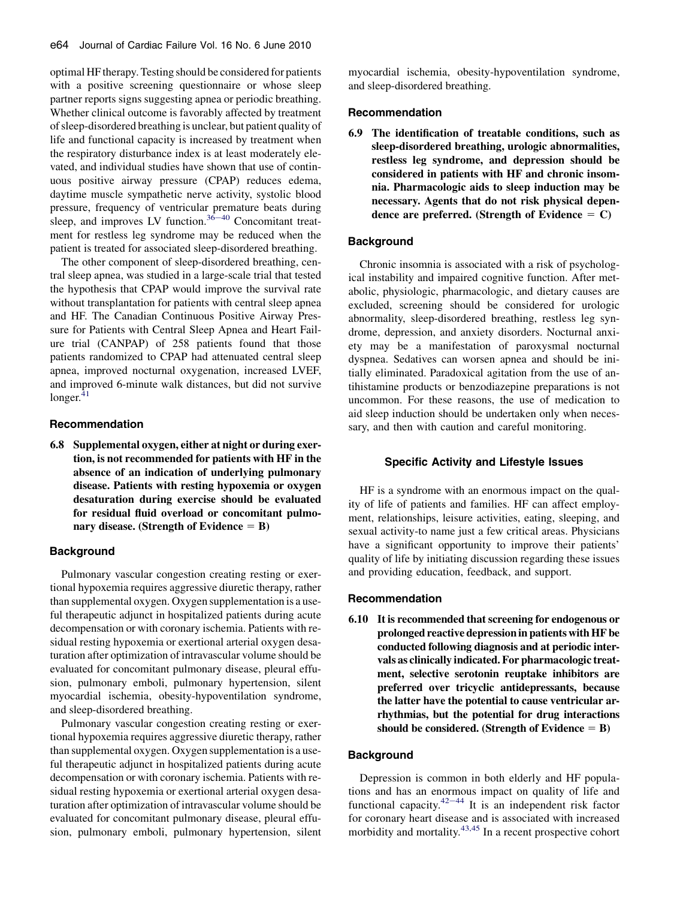optimal HF therapy. Testing should be considered for patients with a positive screening questionnaire or whose sleep partner reports signs suggesting apnea or periodic breathing. Whether clinical outcome is favorably affected by treatment of sleep-disordered breathing is unclear, but patient quality of life and functional capacity is increased by treatment when the respiratory disturbance index is at least moderately elevated, and individual studies have shown that use of continuous positive airway pressure (CPAP) reduces edema, daytime muscle sympathetic nerve activity, systolic blood pressure, frequency of ventricula[r prem](#page-8-0)ature beats during sleep, and improves LV function.<sup>36–40</sup> Concomitant treatment for restless leg syndrome may be reduced when the patient is treated for associated sleep-disordered breathing.

The other component of sleep-disordered breathing, central sleep apnea, was studied in a large-scale trial that tested the hypothesis that CPAP would improve the survival rate without transplantation for patients with central sleep apnea and HF. The Canadian Continuous Positive Airway Pressure for Patients with Central Sleep Apnea and Heart Failure trial (CANPAP) of 258 patients found that those patients randomized to CPAP had attenuated central sleep apnea, improved nocturnal oxygenation, increased LVEF, and improved 6-minute walk distances, but did not survive  $longer.<sup>41</sup>$  $longer.<sup>41</sup>$  $longer.<sup>41</sup>$ 

## Recommendation

6.8 Supplemental oxygen, either at night or during exertion, is not recommended for patients with HF in the absence of an indication of underlying pulmonary disease. Patients with resting hypoxemia or oxygen desaturation during exercise should be evaluated for residual fluid overload or concomitant pulmonary disease. (Strength of Evidence  $=$  B)

# **Background**

Pulmonary vascular congestion creating resting or exertional hypoxemia requires aggressive diuretic therapy, rather than supplemental oxygen. Oxygen supplementation is a useful therapeutic adjunct in hospitalized patients during acute decompensation or with coronary ischemia. Patients with residual resting hypoxemia or exertional arterial oxygen desaturation after optimization of intravascular volume should be evaluated for concomitant pulmonary disease, pleural effusion, pulmonary emboli, pulmonary hypertension, silent myocardial ischemia, obesity-hypoventilation syndrome, and sleep-disordered breathing.

Pulmonary vascular congestion creating resting or exertional hypoxemia requires aggressive diuretic therapy, rather than supplemental oxygen. Oxygen supplementation is a useful therapeutic adjunct in hospitalized patients during acute decompensation or with coronary ischemia. Patients with residual resting hypoxemia or exertional arterial oxygen desaturation after optimization of intravascular volume should be evaluated for concomitant pulmonary disease, pleural effusion, pulmonary emboli, pulmonary hypertension, silent

myocardial ischemia, obesity-hypoventilation syndrome, and sleep-disordered breathing.

#### Recommendation

6.9 The identification of treatable conditions, such as sleep-disordered breathing, urologic abnormalities, restless leg syndrome, and depression should be considered in patients with HF and chronic insomnia. Pharmacologic aids to sleep induction may be necessary. Agents that do not risk physical dependence are preferred. (Strength of Evidence  $= C$ )

## **Background**

Chronic insomnia is associated with a risk of psychological instability and impaired cognitive function. After metabolic, physiologic, pharmacologic, and dietary causes are excluded, screening should be considered for urologic abnormality, sleep-disordered breathing, restless leg syndrome, depression, and anxiety disorders. Nocturnal anxiety may be a manifestation of paroxysmal nocturnal dyspnea. Sedatives can worsen apnea and should be initially eliminated. Paradoxical agitation from the use of antihistamine products or benzodiazepine preparations is not uncommon. For these reasons, the use of medication to aid sleep induction should be undertaken only when necessary, and then with caution and careful monitoring.

### Specific Activity and Lifestyle Issues

HF is a syndrome with an enormous impact on the quality of life of patients and families. HF can affect employment, relationships, leisure activities, eating, sleeping, and sexual activity-to name just a few critical areas. Physicians have a significant opportunity to improve their patients' quality of life by initiating discussion regarding these issues and providing education, feedback, and support.

### Recommendation

6.10 It is recommended that screening for endogenous or prolonged reactive depression in patients with HF be conducted following diagnosis and at periodic intervals as clinically indicated. For pharmacologic treatment, selective serotonin reuptake inhibitors are preferred over tricyclic antidepressants, because the latter have the potential to cause ventricular arrhythmias, but the potential for drug interactions should be considered. (Strength of Evidence  $=$  B)

## Background

Depression is common in both elderly and HF populations and has an e[normo](#page-9-0)us impact on quality of life and functional capacity.<sup>42-44</sup> It is an independent risk factor for coronary heart disease and is associated with increased morbidity and mortality.<sup>[43,45](#page-9-0)</sup> In a recent prospective cohort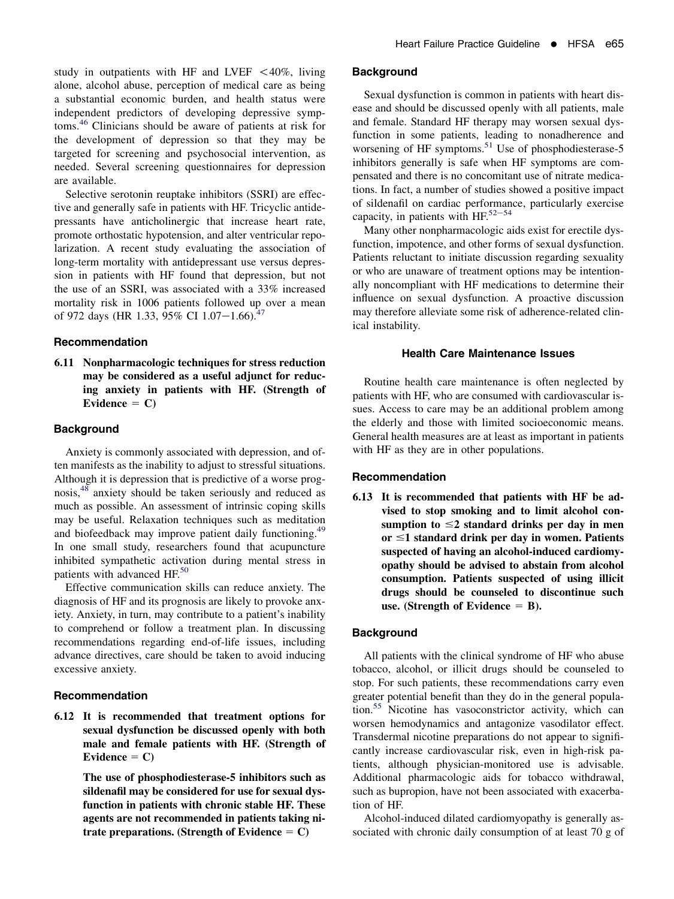study in outpatients with HF and LVEF  $\lt$  40%, living alone, alcohol abuse, perception of medical care as being a substantial economic burden, and health status were independent predictors of developing depressive symptoms.[46](#page-9-0) Clinicians should be aware of patients at risk for the development of depression so that they may be targeted for screening and psychosocial intervention, as needed. Several screening questionnaires for depression are available.

Selective serotonin reuptake inhibitors (SSRI) are effective and generally safe in patients with HF. Tricyclic antidepressants have anticholinergic that increase heart rate, promote orthostatic hypotension, and alter ventricular repolarization. A recent study evaluating the association of long-term mortality with antidepressant use versus depression in patients with HF found that depression, but not the use of an SSRI, was associated with a 33% increased mortality risk in 1006 patients followed up over a mean of 972 days (HR 1.33, 95% CI 1.07-1.66).<sup>[47](#page-9-0)</sup>

#### Recommendation

6.11 Nonpharmacologic techniques for stress reduction may be considered as a useful adjunct for reducing anxiety in patients with HF. (Strength of Evidence  $= C$ )

#### **Background**

Anxiety is commonly associated with depression, and often manifests as the inability to adjust to stressful situations. Although it is depression that is predictive of a worse prognosis,[48](#page-9-0) anxiety should be taken seriously and reduced as much as possible. An assessment of intrinsic coping skills may be useful. Relaxation techniques such as meditation and biofeedback may improve patient daily functioning.<sup>[49](#page-9-0)</sup> In one small study, researchers found that acupuncture inhibited sympathetic activation during mental stress in patients with advanced HF.<sup>[50](#page-9-0)</sup>

Effective communication skills can reduce anxiety. The diagnosis of HF and its prognosis are likely to provoke anxiety. Anxiety, in turn, may contribute to a patient's inability to comprehend or follow a treatment plan. In discussing recommendations regarding end-of-life issues, including advance directives, care should be taken to avoid inducing excessive anxiety.

## Recommendation

6.12 It is recommended that treatment options for sexual dysfunction be discussed openly with both male and female patients with HF. (Strength of Evidence  $= C$ )

> The use of phosphodiesterase-5 inhibitors such as sildenafil may be considered for use for sexual dysfunction in patients with chronic stable HF. These agents are not recommended in patients taking nitrate preparations. (Strength of Evidence  $= C$ )

#### **Background**

Sexual dysfunction is common in patients with heart disease and should be discussed openly with all patients, male and female. Standard HF therapy may worsen sexual dysfunction in some patients, leading to nonadherence and worsening of HF symptoms.<sup>[51](#page-9-0)</sup> Use of phosphodiesterase-5 inhibitors generally is safe when HF symptoms are compensated and there is no concomitant use of nitrate medications. In fact, a number of studies showed a positive impact of sildenafil on cardiac performance, particularly exercise capacity, in patients with  $HF^{52-54}$  $HF^{52-54}$  $HF^{52-54}$ 

Many other nonpharmacologic aids exist for erectile dysfunction, impotence, and other forms of sexual dysfunction. Patients reluctant to initiate discussion regarding sexuality or who are unaware of treatment options may be intentionally noncompliant with HF medications to determine their influence on sexual dysfunction. A proactive discussion may therefore alleviate some risk of adherence-related clinical instability.

### Health Care Maintenance Issues

Routine health care maintenance is often neglected by patients with HF, who are consumed with cardiovascular issues. Access to care may be an additional problem among the elderly and those with limited socioeconomic means. General health measures are at least as important in patients with HF as they are in other populations.

#### Recommendation

6.13 It is recommended that patients with HF be advised to stop smoking and to limit alcohol consumption to  $\leq$ 2 standard drinks per day in men or  $\leq$ 1 standard drink per day in women. Patients suspected of having an alcohol-induced cardiomyopathy should be advised to abstain from alcohol consumption. Patients suspected of using illicit drugs should be counseled to discontinue such use. (Strength of Evidence  $=$  B).

#### **Background**

All patients with the clinical syndrome of HF who abuse tobacco, alcohol, or illicit drugs should be counseled to stop. For such patients, these recommendations carry even greater potential benefit than they do in the general population.[55](#page-9-0) Nicotine has vasoconstrictor activity, which can worsen hemodynamics and antagonize vasodilator effect. Transdermal nicotine preparations do not appear to significantly increase cardiovascular risk, even in high-risk patients, although physician-monitored use is advisable. Additional pharmacologic aids for tobacco withdrawal, such as bupropion, have not been associated with exacerbation of HF.

Alcohol-induced dilated cardiomyopathy is generally associated with chronic daily consumption of at least 70 g of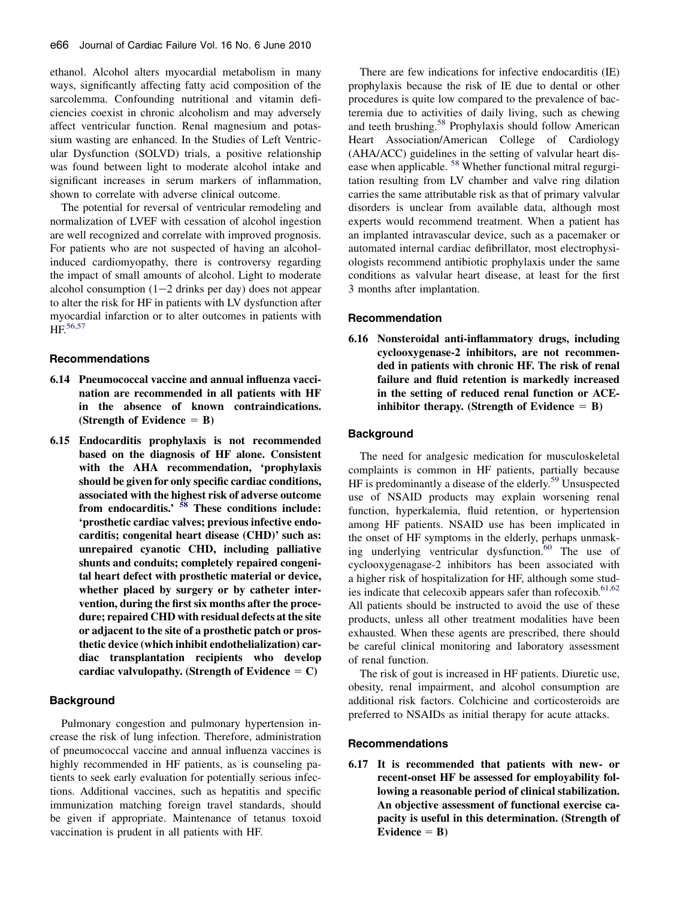ethanol. Alcohol alters myocardial metabolism in many ways, significantly affecting fatty acid composition of the sarcolemma. Confounding nutritional and vitamin deficiencies coexist in chronic alcoholism and may adversely affect ventricular function. Renal magnesium and potassium wasting are enhanced. In the Studies of Left Ventricular Dysfunction (SOLVD) trials, a positive relationship was found between light to moderate alcohol intake and significant increases in serum markers of inflammation, shown to correlate with adverse clinical outcome.

The potential for reversal of ventricular remodeling and normalization of LVEF with cessation of alcohol ingestion are well recognized and correlate with improved prognosis. For patients who are not suspected of having an alcoholinduced cardiomyopathy, there is controversy regarding the impact of small amounts of alcohol. Light to moderate alcohol consumption  $(1-2)$  drinks per day) does not appear to alter the risk for HF in patients with LV dysfunction after myocardial infarction or to alter outcomes in patients with HF.<sup>[56,57](#page-9-0)</sup>

#### Recommendations

- 6.14 Pneumococcal vaccine and annual influenza vaccination are recommended in all patients with HF in the absence of known contraindications. (Strength of Evidence  $=$  B)
- 6.15 Endocarditis prophylaxis is not recommended based on the diagnosis of HF alone. Consistent with the AHA recommendation, 'prophylaxis should be given for only specific cardiac conditions, associated with the highest risk of adverse outcome from endocarditis.'  $58$  These conditions include: 'prosthetic cardiac valves; previous infective endocarditis; congenital heart disease (CHD)' such as: unrepaired cyanotic CHD, including palliative shunts and conduits; completely repaired congenital heart defect with prosthetic material or device, whether placed by surgery or by catheter intervention, during the first six months after the procedure; repaired CHD with residual defects at the site or adjacent to the site of a prosthetic patch or prosthetic device (which inhibit endothelialization) cardiac transplantation recipients who develop cardiac valvulopathy. (Strength of Evidence  $= C$ )

### **Background**

Pulmonary congestion and pulmonary hypertension increase the risk of lung infection. Therefore, administration of pneumococcal vaccine and annual influenza vaccines is highly recommended in HF patients, as is counseling patients to seek early evaluation for potentially serious infections. Additional vaccines, such as hepatitis and specific immunization matching foreign travel standards, should be given if appropriate. Maintenance of tetanus toxoid vaccination is prudent in all patients with HF.

There are few indications for infective endocarditis (IE) prophylaxis because the risk of IE due to dental or other procedures is quite low compared to the prevalence of bacteremia due to activities of daily living, such as chewing and teeth brushing.<sup>[58](#page-9-0)</sup> Prophylaxis should follow American Heart Association/American College of Cardiology (AHA/ACC) guidelines in the setting of valvular heart dis-ease when applicable. <sup>[58](#page-9-0)</sup> Whether functional mitral regurgitation resulting from LV chamber and valve ring dilation carries the same attributable risk as that of primary valvular disorders is unclear from available data, although most experts would recommend treatment. When a patient has an implanted intravascular device, such as a pacemaker or automated internal cardiac defibrillator, most electrophysiologists recommend antibiotic prophylaxis under the same conditions as valvular heart disease, at least for the first 3 months after implantation.

# Recommendation

6.16 Nonsteroidal anti-inflammatory drugs, including cyclooxygenase-2 inhibitors, are not recommended in patients with chronic HF. The risk of renal failure and fluid retention is markedly increased in the setting of reduced renal function or ACEinhibitor therapy. (Strength of Evidence  $=$  B)

#### **Background**

The need for analgesic medication for musculoskeletal complaints is common in HF patients, partially because HF is predominantly a disease of the elderly.<sup>[59](#page-9-0)</sup> Unsuspected use of NSAID products may explain worsening renal function, hyperkalemia, fluid retention, or hypertension among HF patients. NSAID use has been implicated in the onset of HF symptoms in the elderly, perhaps unmasking underlying ventricular dysfunction. $60$  The use of cyclooxygenagase-2 inhibitors has been associated with a higher risk of hospitalization for HF, although some studies indicate that celecoxib appears safer than rofecoxib. $61,62$ All patients should be instructed to avoid the use of these products, unless all other treatment modalities have been exhausted. When these agents are prescribed, there should be careful clinical monitoring and laboratory assessment of renal function.

The risk of gout is increased in HF patients. Diuretic use, obesity, renal impairment, and alcohol consumption are additional risk factors. Colchicine and corticosteroids are preferred to NSAIDs as initial therapy for acute attacks.

### Recommendations

6.17 It is recommended that patients with new- or recent-onset HF be assessed for employability following a reasonable period of clinical stabilization. An objective assessment of functional exercise capacity is useful in this determination. (Strength of Evidence  $=$  B)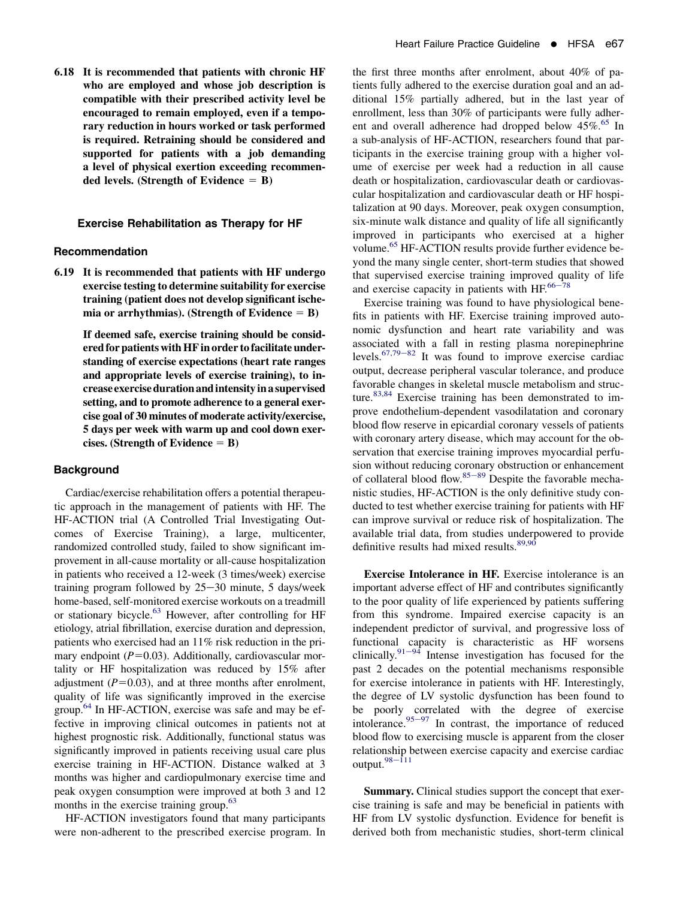6.18 It is recommended that patients with chronic HF who are employed and whose job description is compatible with their prescribed activity level be encouraged to remain employed, even if a temporary reduction in hours worked or task performed is required. Retraining should be considered and supported for patients with a job demanding a level of physical exertion exceeding recommended levels. (Strength of Evidence  $=$  B)

## Exercise Rehabilitation as Therapy for HF

#### Recommendation

6.19 It is recommended that patients with HF undergo exercise testing to determine suitability for exercise training (patient does not develop significant ischemia or arrhythmias). (Strength of Evidence  $=$  B)

> If deemed safe, exercise training should be considered for patients with HF in order to facilitate understanding of exercise expectations (heart rate ranges and appropriate levels of exercise training), to increase exercise duration andintensityin a supervised setting, and to promote adherence to a general exercise goal of 30 minutes of moderate activity/exercise, 5 days per week with warm up and cool down exercises. (Strength of Evidence  $=$  B)

#### **Background**

Cardiac/exercise rehabilitation offers a potential therapeutic approach in the management of patients with HF. The HF-ACTION trial (A Controlled Trial Investigating Outcomes of Exercise Training), a large, multicenter, randomized controlled study, failed to show significant improvement in all-cause mortality or all-cause hospitalization in patients who received a 12-week (3 times/week) exercise training program followed by  $25-30$  minute, 5 days/week home-based, self-monitored exercise workouts on a treadmill or stationary bicycle.[63](#page-9-0) However, after controlling for HF etiology, atrial fibrillation, exercise duration and depression, patients who exercised had an 11% risk reduction in the primary endpoint  $(P=0.03)$ . Additionally, cardiovascular mortality or HF hospitalization was reduced by 15% after adjustment  $(P=0.03)$ , and at three months after enrolment, quality of life was significantly improved in the exercise group.<sup>64</sup> In HF-ACTION, exercise was safe and may be effective in improving clinical outcomes in patients not at highest prognostic risk. Additionally, functional status was significantly improved in patients receiving usual care plus exercise training in HF-ACTION. Distance walked at 3 months was higher and cardiopulmonary exercise time and peak oxygen consumption were improved at both 3 and 12 months in the exercise training group.<sup>63</sup>

HF-ACTION investigators found that many participants were non-adherent to the prescribed exercise program. In the first three months after enrolment, about 40% of patients fully adhered to the exercise duration goal and an additional 15% partially adhered, but in the last year of enrollment, less than 30% of participants were fully adher-ent and overall adherence had dropped below 45%.<sup>[65](#page-9-0)</sup> In a sub-analysis of HF-ACTION, researchers found that participants in the exercise training group with a higher volume of exercise per week had a reduction in all cause death or hospitalization, cardiovascular death or cardiovascular hospitalization and cardiovascular death or HF hospitalization at 90 days. Moreover, peak oxygen consumption, six-minute walk distance and quality of life all significantly improved in participants who exercised at a higher volume.<sup>65</sup> HF-ACTION results provide further evidence beyond the many single center, short-term studies that showed that supervised exercise training improved quality of life and exercise capacity in patients with  $HF.66-78$  $HF.66-78$  $HF.66-78$ 

Exercise training was found to have physiological benefits in patients with HF. Exercise training improved autonomic dysfunction and heart rate variability and was associated with a fall in resting plasma norepinephrine levels. $67,79-82$  It was found to improve exercise cardiac output, decrease peripheral vascular tolerance, and produce favorable changes in skeletal muscle metabolism and struc-ture.<sup>[83,84](#page-10-0)</sup> Exercise training has been demonstrated to improve endothelium-dependent vasodilatation and coronary blood flow reserve in epicardial coronary vessels of patients with coronary artery disease, which may account for the observation that exercise training improves myocardial perfusion without reducing c[oronar](#page-10-0)y obstruction or enhancement of collateral blood flow.<sup>85-89</sup> Despite the favorable mechanistic studies, HF-ACTION is the only definitive study conducted to test whether exercise training for patients with HF can improve survival or reduce risk of hospitalization. The available trial data, from studies underpowered to provide definitive results had mixed results.<sup>[89,90](#page-10-0)</sup>

Exercise Intolerance in HF. Exercise intolerance is an important adverse effect of HF and contributes significantly to the poor quality of life experienced by patients suffering from this syndrome. Impaired exercise capacity is an independent predictor of survival, and progressive loss of functional capacity is characteristic as HF worsens clinically.<sup>[91](#page-10-0)-94</sup> Intense investigation has focused for the past 2 decades on the potential mechanisms responsible for exercise intolerance in patients with HF. Interestingly, the degree of LV systolic dysfunction has been found to be poorly correlated with the degree of exercise intolerance.<sup>[95](#page-10-0)-97</sup> In contrast, the importance of reduced blood flow to exercising muscle is apparent from the closer relationship between exercise capacity and exercise cardiac output. $98-111$  $98-111$ 

Summary. Clinical studies support the concept that exercise training is safe and may be beneficial in patients with HF from LV systolic dysfunction. Evidence for benefit is derived both from mechanistic studies, short-term clinical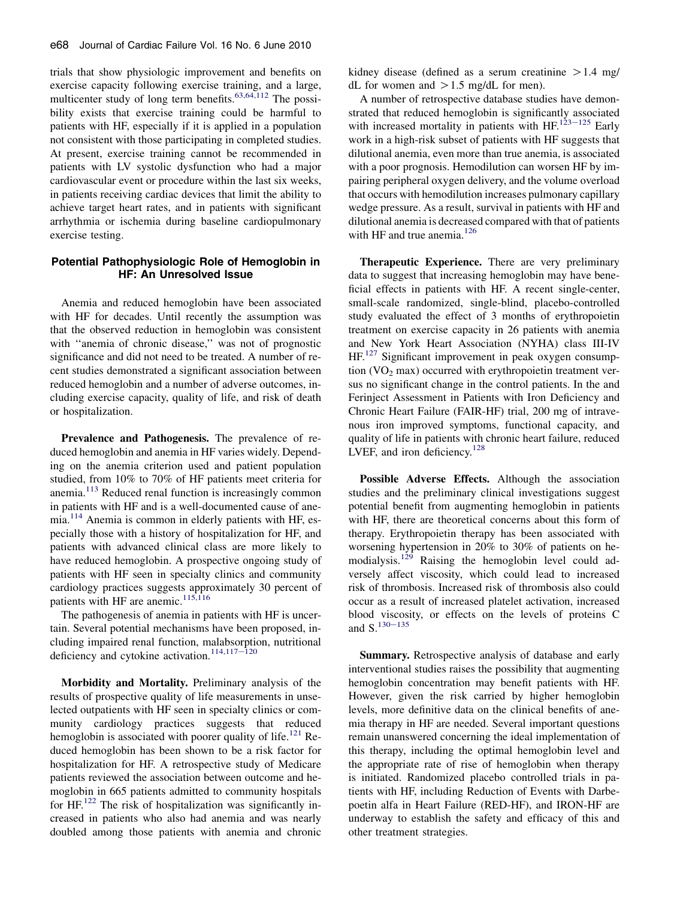trials that show physiologic improvement and benefits on exercise capacity following exercise training, and a large, multicenter study of long term benefits. $63,64,112$  The possibility exists that exercise training could be harmful to patients with HF, especially if it is applied in a population not consistent with those participating in completed studies. At present, exercise training cannot be recommended in patients with LV systolic dysfunction who had a major cardiovascular event or procedure within the last six weeks, in patients receiving cardiac devices that limit the ability to achieve target heart rates, and in patients with significant arrhythmia or ischemia during baseline cardiopulmonary exercise testing.

# Potential Pathophysiologic Role of Hemoglobin in HF: An Unresolved Issue

Anemia and reduced hemoglobin have been associated with HF for decades. Until recently the assumption was that the observed reduction in hemoglobin was consistent with "anemia of chronic disease," was not of prognostic significance and did not need to be treated. A number of recent studies demonstrated a significant association between reduced hemoglobin and a number of adverse outcomes, including exercise capacity, quality of life, and risk of death or hospitalization.

Prevalence and Pathogenesis. The prevalence of reduced hemoglobin and anemia in HF varies widely. Depending on the anemia criterion used and patient population studied, from 10% to 70% of HF patients meet criteria for anemia.<sup>[113](#page-10-0)</sup> Reduced renal function is increasingly common in patients with HF and is a well-documented cause of anemia.[114](#page-10-0) Anemia is common in elderly patients with HF, especially those with a history of hospitalization for HF, and patients with advanced clinical class are more likely to have reduced hemoglobin. A prospective ongoing study of patients with HF seen in specialty clinics and community cardiology practices suggests approximately 30 percent of patients with HF are anemic.<sup>[115,116](#page-10-0)</sup>

The pathogenesis of anemia in patients with HF is uncertain. Several potential mechanisms have been proposed, including impaired renal function, malabsorption, nutritional deficiency and cytokine activation.<sup>[114,117](#page-10-0)-120</sup>

Morbidity and Mortality. Preliminary analysis of the results of prospective quality of life measurements in unselected outpatients with HF seen in specialty clinics or community cardiology practices suggests that reduced hemoglobin is associated with poorer quality of life.<sup>[121](#page-11-0)</sup> Reduced hemoglobin has been shown to be a risk factor for hospitalization for HF. A retrospective study of Medicare patients reviewed the association between outcome and hemoglobin in 665 patients admitted to community hospitals for  $HF<sup>122</sup>$  $HF<sup>122</sup>$  $HF<sup>122</sup>$  The risk of hospitalization was significantly increased in patients who also had anemia and was nearly doubled among those patients with anemia and chronic

kidney disease (defined as a serum creatinine  $> 1.4$  mg/ dL for women and  $>1.5$  mg/dL for men).

A number of retrospective database studies have demonstrated that reduced hemoglobin is significantly associated with increased mortality in patients with HF.<sup>[123](#page-11-0)–125</sup> Early work in a high-risk subset of patients with HF suggests that dilutional anemia, even more than true anemia, is associated with a poor prognosis. Hemodilution can worsen HF by impairing peripheral oxygen delivery, and the volume overload that occurs with hemodilution increases pulmonary capillary wedge pressure. As a result, survival in patients with HF and dilutional anemia is decreased compared with that of patients with HF and true anemia.<sup>[126](#page-11-0)</sup>

Therapeutic Experience. There are very preliminary data to suggest that increasing hemoglobin may have beneficial effects in patients with HF. A recent single-center, small-scale randomized, single-blind, placebo-controlled study evaluated the effect of 3 months of erythropoietin treatment on exercise capacity in 26 patients with anemia and New York Heart Association (NYHA) class III-IV HF.<sup>[127](#page-11-0)</sup> Significant improvement in peak oxygen consumption  $(VO<sub>2</sub> max)$  occurred with erythropoietin treatment versus no significant change in the control patients. In the and Ferinject Assessment in Patients with Iron Deficiency and Chronic Heart Failure (FAIR-HF) trial, 200 mg of intravenous iron improved symptoms, functional capacity, and quality of life in patients with chronic heart failure, reduced LVEF, and iron deficiency. $128$ 

Possible Adverse Effects. Although the association studies and the preliminary clinical investigations suggest potential benefit from augmenting hemoglobin in patients with HF, there are theoretical concerns about this form of therapy. Erythropoietin therapy has been associated with worsening hypertension in 20% to 30% of patients on he-modialysis.<sup>[129](#page-11-0)</sup> Raising the hemoglobin level could adversely affect viscosity, which could lead to increased risk of thrombosis. Increased risk of thrombosis also could occur as a result of increased platelet activation, increased blood viscosity, or effects on the levels of proteins C and  $S<sup>130-135</sup>$  $S<sup>130-135</sup>$  $S<sup>130-135</sup>$ 

Summary. Retrospective analysis of database and early interventional studies raises the possibility that augmenting hemoglobin concentration may benefit patients with HF. However, given the risk carried by higher hemoglobin levels, more definitive data on the clinical benefits of anemia therapy in HF are needed. Several important questions remain unanswered concerning the ideal implementation of this therapy, including the optimal hemoglobin level and the appropriate rate of rise of hemoglobin when therapy is initiated. Randomized placebo controlled trials in patients with HF, including Reduction of Events with Darbepoetin alfa in Heart Failure (RED-HF), and IRON-HF are underway to establish the safety and efficacy of this and other treatment strategies.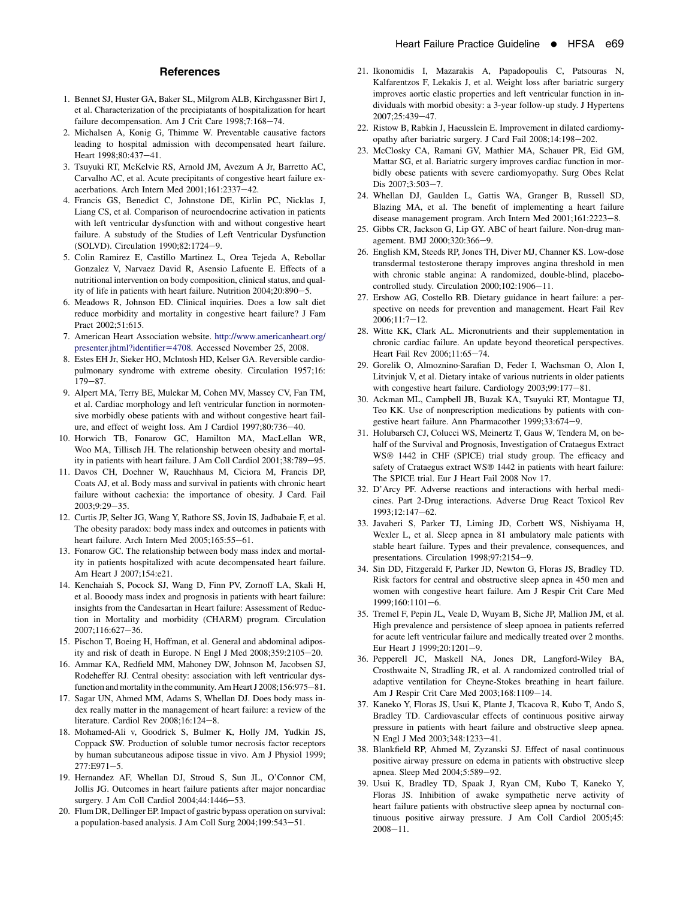#### **References**

- <span id="page-8-0"></span>1. Bennet SJ, Huster GA, Baker SL, Milgrom ALB, Kirchgassner Birt J, et al. Characterization of the precipiatants of hospitalization for heart failure decompensation. Am J Crit Care 1998;7:168-74.
- 2. Michalsen A, Konig G, Thimme W. Preventable causative factors leading to hospital admission with decompensated heart failure. Heart 1998:80:437-41.
- 3. Tsuyuki RT, McKelvie RS, Arnold JM, Avezum A Jr, Barretto AC, Carvalho AC, et al. Acute precipitants of congestive heart failure exacerbations. Arch Intern Med  $2001;161:2337-42$ .
- 4. Francis GS, Benedict C, Johnstone DE, Kirlin PC, Nicklas J, Liang CS, et al. Comparison of neuroendocrine activation in patients with left ventricular dysfunction with and without congestive heart failure. A substudy of the Studies of Left Ventricular Dysfunction (SOLVD). Circulation 1990;82:1724-9.
- 5. Colin Ramirez E, Castillo Martinez L, Orea Tejeda A, Rebollar Gonzalez V, Narvaez David R, Asensio Lafuente E. Effects of a nutritional intervention on body composition, clinical status, and quality of life in patients with heart failure. Nutrition  $2004;20:890-5$ .
- 6. Meadows R, Johnson ED. Clinical inquiries. Does a low salt diet reduce morbidity and mortality in congestive heart failure? J Fam Pract 2002;51:615.
- 7. American Heart Association website. [http://www.americanheart.org/](http://www.americanheart.org/presenter.jhtml?identifier=4708) [presenter.jhtml?identifier](http://www.americanheart.org/presenter.jhtml?identifier=4708)=4708. Accessed November 25, 2008.
- 8. Estes EH Jr, Sieker HO, Mclntosh HD, Kelser GA. Reversible cardiopulmonary syndrome with extreme obesity. Circulation 1957;16:  $179 - 87$ .
- 9. Alpert MA, Terry BE, Mulekar M, Cohen MV, Massey CV, Fan TM, et al. Cardiac morphology and left ventricular function in normotensive morbidly obese patients with and without congestive heart failure, and effect of weight loss. Am J Cardiol 1997;80:736-40.
- 10. Horwich TB, Fonarow GC, Hamilton MA, MacLellan WR, Woo MA, Tillisch JH. The relationship between obesity and mortality in patients with heart failure. J Am Coll Cardiol 2001;38:789-95.
- 11. Davos CH, Doehner W, Rauchhaus M, Ciciora M, Francis DP, Coats AJ, et al. Body mass and survival in patients with chronic heart failure without cachexia: the importance of obesity. J Card. Fail  $2003:9:29-35.$
- 12. Curtis JP, Selter JG, Wang Y, Rathore SS, Jovin IS, Jadbabaie F, et al. The obesity paradox: body mass index and outcomes in patients with heart failure. Arch Intern Med 2005;165:55-61.
- 13. Fonarow GC. The relationship between body mass index and mortality in patients hospitalized with acute decompensated heart failure. Am Heart J 2007;154:e21.
- 14. Kenchaiah S, Pocock SJ, Wang D, Finn PV, Zornoff LA, Skali H, et al. Booody mass index and prognosis in patients with heart failure: insights from the Candesartan in Heart failure: Assessment of Reduction in Mortality and morbidity (CHARM) program. Circulation 2007:116:627-36.
- 15. Pischon T, Boeing H, Hoffman, et al. General and abdominal adiposity and risk of death in Europe. N Engl J Med  $2008;359:2105-20$ .
- 16. Ammar KA, Redfield MM, Mahoney DW, Johnson M, Jacobsen SJ, Rodeheffer RJ. Central obesity: association with left ventricular dysfunction and mortality in the community. Am Heart J 2008;156:975-81.
- 17. Sagar UN, Ahmed MM, Adams S, Whellan DJ. Does body mass index really matter in the management of heart failure: a review of the literature. Cardiol Rev  $2008;16:124-8$ .
- 18. Mohamed-Ali v, Goodrick S, Bulmer K, Holly JM, Yudkin JS, Coppack SW. Production of soluble tumor necrosis factor receptors by human subcutaneous adipose tissue in vivo. Am J Physiol 1999; 277:E971-5.
- 19. Hernandez AF, Whellan DJ, Stroud S, Sun JL, O'Connor CM, Jollis JG. Outcomes in heart failure patients after major noncardiac surgery. J Am Coll Cardiol 2004;44:1446-53.
- 20. Flum DR, Dellinger EP. Impact of gastric bypass operation on survival: a population-based analysis. J Am Coll Surg 2004;199:543-51.
- 21. Ikonomidis I, Mazarakis A, Papadopoulis C, Patsouras N, Kalfarentzos F, Lekakis J, et al. Weight loss after bariatric surgery improves aortic elastic properties and left ventricular function in individuals with morbid obesity: a 3-year follow-up study. J Hypertens 2007;25:439-47.
- 22. Ristow B, Rabkin J, Haeusslein E. Improvement in dilated cardiomyopathy after bariatric surgery. J Card Fail 2008;14:198-202.
- 23. McClosky CA, Ramani GV, Mathier MA, Schauer PR, Eid GM, Mattar SG, et al. Bariatric surgery improves cardiac function in morbidly obese patients with severe cardiomyopathy. Surg Obes Relat Dis 2007:3:503-7.
- 24. Whellan DJ, Gaulden L, Gattis WA, Granger B, Russell SD, Blazing MA, et al. The benefit of implementing a heart failure disease management program. Arch Intern Med 2001;161:2223-8.
- 25. Gibbs CR, Jackson G, Lip GY. ABC of heart failure. Non-drug management. BMJ 2000;320:366-9.
- 26. English KM, Steeds RP, Jones TH, Diver MJ, Channer KS. Low-dose transdermal testosterone therapy improves angina threshold in men with chronic stable angina: A randomized, double-blind, placebocontrolled study. Circulation  $2000;102:1906-11$ .
- 27. Ershow AG, Costello RB. Dietary guidance in heart failure: a perspective on needs for prevention and management. Heart Fail Rev  $2006;11:7-12.$
- 28. Witte KK, Clark AL. Micronutrients and their supplementation in chronic cardiac failure. An update beyond theoretical perspectives. Heart Fail Rev 2006;11:65-74.
- 29. Gorelik O, Almoznino-Sarafian D, Feder I, Wachsman O, Alon I, Litvinjuk V, et al. Dietary intake of various nutrients in older patients with congestive heart failure. Cardiology  $2003;99:177-81$ .
- 30. Ackman ML, Campbell JB, Buzak KA, Tsuyuki RT, Montague TJ, Teo KK. Use of nonprescription medications by patients with congestive heart failure. Ann Pharmacother 1999;33:674-9.
- 31. Holubarsch CJ, Colucci WS, Meinertz T, Gaus W, Tendera M, on behalf of the Survival and Prognosis, Investigation of Crataegus Extract WS<sup>®</sup> 1442 in CHF (SPICE) trial study group. The efficacy and safety of Crataegus extract WS® 1442 in patients with heart failure: The SPICE trial. Eur J Heart Fail 2008 Nov 17.
- 32. D'Arcy PF. Adverse reactions and interactions with herbal medicines. Part 2-Drug interactions. Adverse Drug React Toxicol Rev 1993;12:147-62.
- 33. Javaheri S, Parker TJ, Liming JD, Corbett WS, Nishiyama H, Wexler L, et al. Sleep apnea in 81 ambulatory male patients with stable heart failure. Types and their prevalence, consequences, and presentations. Circulation 1998;97:2154-9.
- 34. Sin DD, Fitzgerald F, Parker JD, Newton G, Floras JS, Bradley TD. Risk factors for central and obstructive sleep apnea in 450 men and women with congestive heart failure. Am J Respir Crit Care Med  $1999:160:1101-6.$
- 35. Tremel F, Pepin JL, Veale D, Wuyam B, Siche JP, Mallion JM, et al. High prevalence and persistence of sleep apnoea in patients referred for acute left ventricular failure and medically treated over 2 months. Eur Heart J 1999;20:1201-9.
- 36. Pepperell JC, Maskell NA, Jones DR, Langford-Wiley BA, Crosthwaite N, Stradling JR, et al. A randomized controlled trial of adaptive ventilation for Cheyne-Stokes breathing in heart failure. Am J Respir Crit Care Med 2003;168:1109-14.
- 37. Kaneko Y, Floras JS, Usui K, Plante J, Tkacova R, Kubo T, Ando S, Bradley TD. Cardiovascular effects of continuous positive airway pressure in patients with heart failure and obstructive sleep apnea. N Engl J Med 2003;348:1233-41.
- 38. Blankfield RP, Ahmed M, Zyzanski SJ. Effect of nasal continuous positive airway pressure on edema in patients with obstructive sleep apnea. Sleep Med 2004;5:589-92.
- 39. Usui K, Bradley TD, Spaak J, Ryan CM, Kubo T, Kaneko Y, Floras JS. Inhibition of awake sympathetic nerve activity of heart failure patients with obstructive sleep apnea by nocturnal continuous positive airway pressure. J Am Coll Cardiol 2005;45:  $2008 - 11.$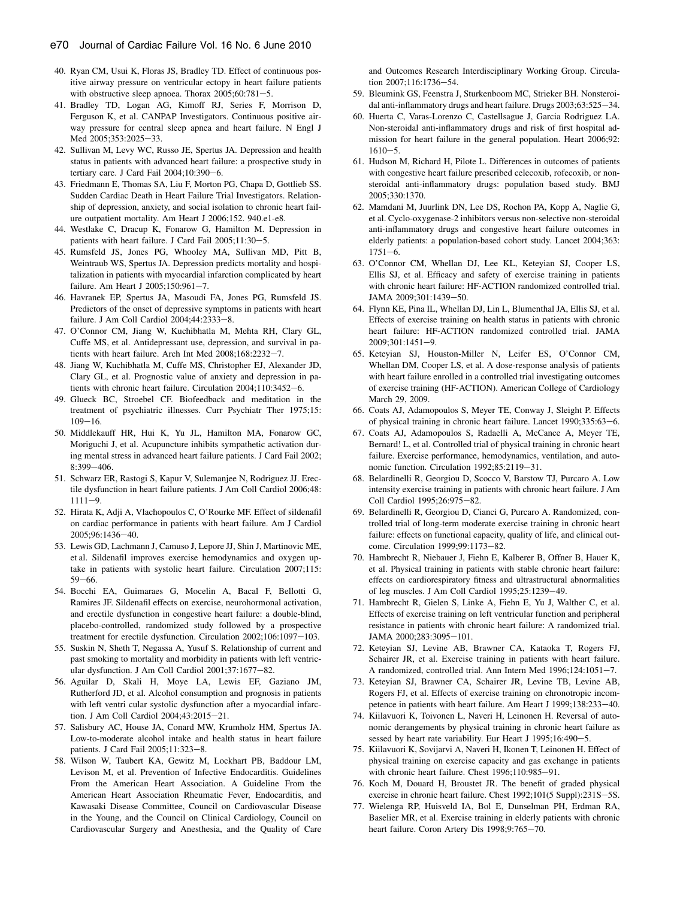- <span id="page-9-0"></span>40. Ryan CM, Usui K, Floras JS, Bradley TD. Effect of continuous positive airway pressure on ventricular ectopy in heart failure patients with obstructive sleep apnoea. Thorax  $2005;60:781-5$ .
- 41. Bradley TD, Logan AG, Kimoff RJ, Series F, Morrison D, Ferguson K, et al. CANPAP Investigators. Continuous positive airway pressure for central sleep apnea and heart failure. N Engl J Med 2005;353:2025-33.
- 42. Sullivan M, Levy WC, Russo JE, Spertus JA. Depression and health status in patients with advanced heart failure: a prospective study in tertiary care. J Card Fail  $2004;10:390-6$ .
- 43. Friedmann E, Thomas SA, Liu F, Morton PG, Chapa D, Gottlieb SS. Sudden Cardiac Death in Heart Failure Trial Investigators. Relationship of depression, anxiety, and social isolation to chronic heart failure outpatient mortality. Am Heart J 2006;152. 940.e1-e8.
- 44. Westlake C, Dracup K, Fonarow G, Hamilton M. Depression in patients with heart failure. J Card Fail 2005;11:30-5.
- 45. Rumsfeld JS, Jones PG, Whooley MA, Sullivan MD, Pitt B, Weintraub WS, Spertus JA. Depression predicts mortality and hospitalization in patients with myocardial infarction complicated by heart failure. Am Heart J 2005;150:961-7.
- 46. Havranek EP, Spertus JA, Masoudi FA, Jones PG, Rumsfeld JS. Predictors of the onset of depressive symptoms in patients with heart failure. J Am Coll Cardiol 2004;44:2333-8.
- 47. O'Connor CM, Jiang W, Kuchibhatla M, Mehta RH, Clary GL, Cuffe MS, et al. Antidepressant use, depression, and survival in patients with heart failure. Arch Int Med  $2008;168:2232-7$ .
- 48. Jiang W, Kuchibhatla M, Cuffe MS, Christopher EJ, Alexander JD, Clary GL, et al. Prognostic value of anxiety and depression in patients with chronic heart failure. Circulation  $2004;110:3452-6$ .
- 49. Glueck BC, Stroebel CF. Biofeedback and meditation in the treatment of psychiatric illnesses. Curr Psychiatr Ther 1975;15:  $109 - 16$ .
- 50. Middlekauff HR, Hui K, Yu JL, Hamilton MA, Fonarow GC, Moriguchi J, et al. Acupuncture inhibits sympathetic activation during mental stress in advanced heart failure patients. J Card Fail 2002; 8:399-406.
- 51. Schwarz ER, Rastogi S, Kapur V, Sulemanjee N, Rodriguez JJ. Erectile dysfunction in heart failure patients. J Am Coll Cardiol 2006;48:  $1111 - 9.$
- 52. Hirata K, Adji A, Vlachopoulos C, O'Rourke MF. Effect of sildenafil on cardiac performance in patients with heart failure. Am J Cardiol 2005:96:1436-40.
- 53. Lewis GD, Lachmann J, Camuso J, Lepore JJ, Shin J, Martinovic ME, et al. Sildenafil improves exercise hemodynamics and oxygen uptake in patients with systolic heart failure. Circulation 2007;115:  $59 - 66$ .
- 54. Bocchi EA, Guimaraes G, Mocelin A, Bacal F, Bellotti G, Ramires JF. Sildenafil effects on exercise, neurohormonal activation, and erectile dysfunction in congestive heart failure: a double-blind, placebo-controlled, randomized study followed by a prospective treatment for erectile dysfunction. Circulation 2002;106:1097-103.
- 55. Suskin N, Sheth T, Negassa A, Yusuf S. Relationship of current and past smoking to mortality and morbidity in patients with left ventricular dysfunction. J Am Coll Cardiol 2001;37:1677-82.
- 56. Aguilar D, Skali H, Moye LA, Lewis EF, Gaziano JM, Rutherford JD, et al. Alcohol consumption and prognosis in patients with left ventri cular systolic dysfunction after a myocardial infarction. J Am Coll Cardiol 2004;43:2015-21.
- 57. Salisbury AC, House JA, Conard MW, Krumholz HM, Spertus JA. Low-to-moderate alcohol intake and health status in heart failure patients. J Card Fail 2005;11:323-8.
- 58. Wilson W, Taubert KA, Gewitz M, Lockhart PB, Baddour LM, Levison M, et al. Prevention of Infective Endocarditis. Guidelines From the American Heart Association. A Guideline From the American Heart Association Rheumatic Fever, Endocarditis, and Kawasaki Disease Committee, Council on Cardiovascular Disease in the Young, and the Council on Clinical Cardiology, Council on Cardiovascular Surgery and Anesthesia, and the Quality of Care

and Outcomes Research Interdisciplinary Working Group. Circulation 2007;116:1736-54.

- 59. Bleumink GS, Feenstra J, Sturkenboom MC, Strieker BH. Nonsteroidal anti-inflammatory drugs and heart failure. Drugs  $2003;63:525-34$ .
- 60. Huerta C, Varas-Lorenzo C, Castellsague J, Garcia Rodriguez LA. Non-steroidal anti-inflammatory drugs and risk of first hospital admission for heart failure in the general population. Heart 2006;92:  $1610 - 5.$
- 61. Hudson M, Richard H, Pilote L. Differences in outcomes of patients with congestive heart failure prescribed celecoxib, rofecoxib, or nonsteroidal anti-inflammatory drugs: population based study. BMJ 2005;330:1370.
- 62. Mamdani M, Juurlink DN, Lee DS, Rochon PA, Kopp A, Naglie G, et al. Cyclo-oxygenase-2 inhibitors versus non-selective non-steroidal anti-inflammatory drugs and congestive heart failure outcomes in elderly patients: a population-based cohort study. Lancet 2004;363:  $1751 - 6$ .
- 63. O'Connor CM, Whellan DJ, Lee KL, Keteyian SJ, Cooper LS, Ellis SJ, et al. Efficacy and safety of exercise training in patients with chronic heart failure: HF-ACTION randomized controlled trial. JAMA  $2009:301:1439-50$ .
- 64. Flynn KE, Pina IL, Whellan DJ, Lin L, Blumenthal JA, Ellis SJ, et al. Effects of exercise training on health status in patients with chronic heart failure: HF-ACTION randomized controlled trial. JAMA  $2009:301:1451-9$ .
- 65. Keteyian SJ, Houston-Miller N, Leifer ES, O'Connor CM, Whellan DM, Cooper LS, et al. A dose-response analysis of patients with heart failure enrolled in a controlled trial investigating outcomes of exercise training (HF-ACTION). American College of Cardiology March 29, 2009.
- 66. Coats AJ, Adamopoulos S, Meyer TE, Conway J, Sleight P. Effects of physical training in chronic heart failure. Lancet 1990;335:63-6.
- 67. Coats AJ, Adamopoulos S, Radaelli A, McCance A, Meyer TE, Bernard! L, et al. Controlled trial of physical training in chronic heart failure. Exercise performance, hemodynamics, ventilation, and autonomic function. Circulation 1992;85:2119-31.
- 68. Belardinelli R, Georgiou D, Scocco V, Barstow TJ, Purcaro A. Low intensity exercise training in patients with chronic heart failure. J Am Coll Cardiol 1995;26:975-82.
- 69. Belardinelli R, Georgiou D, Cianci G, Purcaro A. Randomized, controlled trial of long-term moderate exercise training in chronic heart failure: effects on functional capacity, quality of life, and clinical outcome. Circulation 1999:99:1173-82.
- 70. Hambrecht R, Niebauer J, Fiehn E, Kalberer B, Offner B, Hauer K, et al. Physical training in patients with stable chronic heart failure: effects on cardiorespiratory fitness and ultrastructural abnormalities of leg muscles. J Am Coll Cardiol 1995;25:1239-49.
- 71. Hambrecht R, Gielen S, Linke A, Fiehn E, Yu J, Walther C, et al. Effects of exercise training on left ventricular function and peripheral resistance in patients with chronic heart failure: A randomized trial. JAMA 2000;283:3095-101.
- 72. Keteyian SJ, Levine AB, Brawner CA, Kataoka T, Rogers FJ, Schairer JR, et al. Exercise training in patients with heart failure. A randomized, controlled trial. Ann Intern Med 1996;124:1051-7.
- 73. Keteyian SJ, Brawner CA, Schairer JR, Levine TB, Levine AB, Rogers FJ, et al. Effects of exercise training on chronotropic incompetence in patients with heart failure. Am Heart J 1999;138:233-40.
- 74. Kiilavuori K, Toivonen L, Naveri H, Leinonen H. Reversal of autonomic derangements by physical training in chronic heart failure as sessed by heart rate variability. Eur Heart J  $1995;16:490-5$ .
- 75. Kiilavuori K, Sovijarvi A, Naveri H, Ikonen T, Leinonen H. Effect of physical training on exercise capacity and gas exchange in patients with chronic heart failure. Chest  $1996;110:985-91$ .
- 76. Koch M, Douard H, Broustet JR. The benefit of graded physical exercise in chronic heart failure. Chest 1992;101(5 Suppl):231S-5S.
- 77. Wielenga RP, Huisveld IA, Bol E, Dunselman PH, Erdman RA, Baselier MR, et al. Exercise training in elderly patients with chronic heart failure. Coron Artery Dis 1998;9:765-70.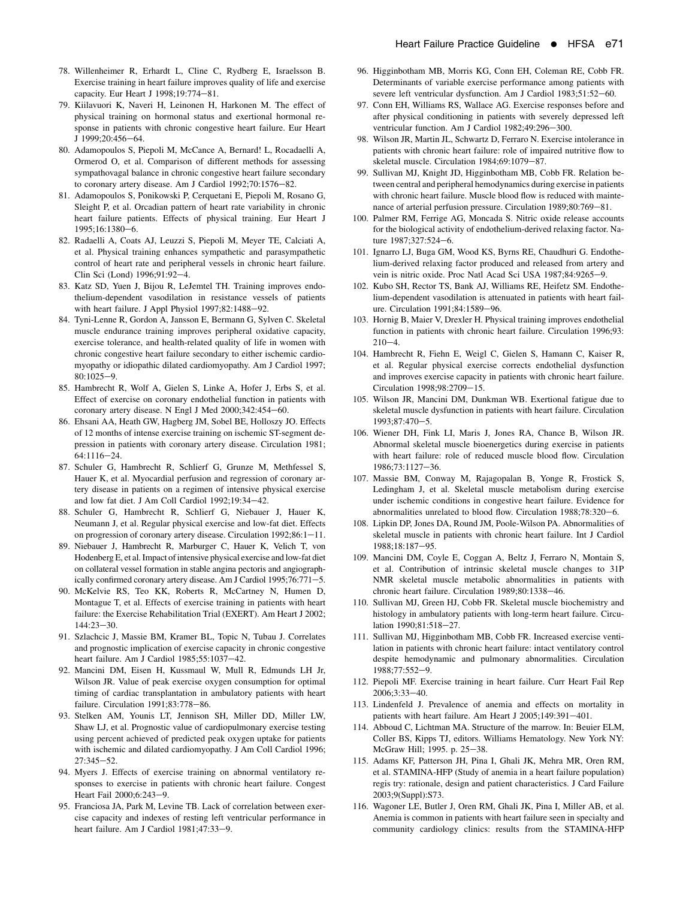- <span id="page-10-0"></span>78. Willenheimer R, Erhardt L, Cline C, Rydberg E, Israelsson B. Exercise training in heart failure improves quality of life and exercise capacity. Eur Heart J 1998;19:774-81.
- 79. Kiilavuori K, Naveri H, Leinonen H, Harkonen M. The effect of physical training on hormonal status and exertional hormonal response in patients with chronic congestive heart failure. Eur Heart  $J 1999; 20:456-64.$
- 80. Adamopoulos S, Piepoli M, McCance A, Bernard! L, Rocadaelli A, Ormerod O, et al. Comparison of different methods for assessing sympathovagal balance in chronic congestive heart failure secondary to coronary artery disease. Am J Cardiol 1992;70:1576-82.
- 81. Adamopoulos S, Ponikowski P, Cerquetani E, Piepoli M, Rosano G, Sleight P, et al. Orcadian pattern of heart rate variability in chronic heart failure patients. Effects of physical training. Eur Heart J 1995:16:1380-6.
- 82. Radaelli A, Coats AJ, Leuzzi S, Piepoli M, Meyer TE, Calciati A, et al. Physical training enhances sympathetic and parasympathetic control of heart rate and peripheral vessels in chronic heart failure. Clin Sci (Lond) 1996;91:92-4.
- 83. Katz SD, Yuen J, Bijou R, LeJemtel TH. Training improves endothelium-dependent vasodilation in resistance vessels of patients with heart failure. J Appl Physiol  $1997;82:1488-92$ .
- 84. Tyni-Lenne R, Gordon A, Jansson E, Bermann G, Sylven C. Skeletal muscle endurance training improves peripheral oxidative capacity, exercise tolerance, and health-related quality of life in women with chronic congestive heart failure secondary to either ischemic cardiomyopathy or idiopathic dilated cardiomyopathy. Am J Cardiol 1997;  $80:1025-9.$
- 85. Hambrecht R, Wolf A, Gielen S, Linke A, Hofer J, Erbs S, et al. Effect of exercise on coronary endothelial function in patients with coronary artery disease. N Engl J Med 2000;342:454-60.
- 86. Ehsani AA, Heath GW, Hagberg JM, Sobel BE, Holloszy JO. Effects of 12 months of intense exercise training on ischemic ST-segment depression in patients with coronary artery disease. Circulation 1981;  $64:1116-24.$
- 87. Schuler G, Hambrecht R, Schlierf G, Grunze M, Methfessel S, Hauer K, et al. Myocardial perfusion and regression of coronary artery disease in patients on a regimen of intensive physical exercise and low fat diet. J Am Coll Cardiol 1992;19:34-42.
- 88. Schuler G, Hambrecht R, Schlierf G, Niebauer J, Hauer K, Neumann J, et al. Regular physical exercise and low-fat diet. Effects on progression of coronary artery disease. Circulation 1992;86:1-11.
- 89. Niebauer J, Hambrecht R, Marburger C, Hauer K, Velich T, von Hodenberg E, et al. Impact of intensive physical exercise and low-fat diet on collateral vessel formation in stable angina pectoris and angiographically confirmed coronary artery disease. Am J Cardiol 1995;76:771-5.
- 90. McKelvie RS, Teo KK, Roberts R, McCartney N, Humen D, Montague T, et al. Effects of exercise training in patients with heart failure: the Exercise Rehabilitation Trial (EXERT). Am Heart J 2002; 144:23-30.
- 91. Szlachcic J, Massie BM, Kramer BL, Topic N, Tubau J. Correlates and prognostic implication of exercise capacity in chronic congestive heart failure. Am J Cardiol 1985;55:1037-42.
- 92. Mancini DM, Eisen H, Kussmaul W, Mull R, Edmunds LH Jr, Wilson JR. Value of peak exercise oxygen consumption for optimal timing of cardiac transplantation in ambulatory patients with heart failure. Circulation 1991;83:778-86.
- 93. Stelken AM, Younis LT, Jennison SH, Miller DD, Miller LW, Shaw LJ, et al. Prognostic value of cardiopulmonary exercise testing using percent achieved of predicted peak oxygen uptake for patients with ischemic and dilated cardiomyopathy. J Am Coll Cardiol 1996;  $27:345 - 52.$
- 94. Myers J. Effects of exercise training on abnormal ventilatory responses to exercise in patients with chronic heart failure. Congest Heart Fail 2000;6:243-9.
- 95. Franciosa JA, Park M, Levine TB. Lack of correlation between exercise capacity and indexes of resting left ventricular performance in heart failure. Am J Cardiol 1981;47:33-9.
- 96. Higginbotham MB, Morris KG, Conn EH, Coleman RE, Cobb FR. Determinants of variable exercise performance among patients with severe left ventricular dysfunction. Am J Cardiol 1983;51:52-60.
- 97. Conn EH, Williams RS, Wallace AG. Exercise responses before and after physical conditioning in patients with severely depressed left ventricular function. Am J Cardiol 1982;49:296-300.
- 98. Wilson JR, Martin JL, Schwartz D, Ferraro N. Exercise intolerance in patients with chronic heart failure: role of impaired nutritive flow to skeletal muscle. Circulation 1984;69:1079-87.
- 99. Sullivan MJ, Knight JD, Higginbotham MB, Cobb FR. Relation between central and peripheral hemodynamics during exercise in patients with chronic heart failure. Muscle blood flow is reduced with maintenance of arterial perfusion pressure. Circulation 1989;80:769-81.
- 100. Palmer RM, Ferrige AG, Moncada S. Nitric oxide release accounts for the biological activity of endothelium-derived relaxing factor. Nature  $1987:327:524-6$ .
- 101. Ignarro LJ, Buga GM, Wood KS, Byrns RE, Chaudhuri G. Endothelium-derived relaxing factor produced and released from artery and vein is nitric oxide. Proc Natl Acad Sci USA 1987;84:9265-9.
- 102. Kubo SH, Rector TS, Bank AJ, Williams RE, Heifetz SM. Endothelium-dependent vasodilation is attenuated in patients with heart failure. Circulation 1991;84:1589-96.
- 103. Hornig B, Maier V, Drexler H. Physical training improves endothelial function in patients with chronic heart failure. Circulation 1996;93:  $210 - 4$ .
- 104. Hambrecht R, Fiehn E, Weigl C, Gielen S, Hamann C, Kaiser R, et al. Regular physical exercise corrects endothelial dysfunction and improves exercise capacity in patients with chronic heart failure. Circulation 1998;98:2709-15.
- 105. Wilson JR, Mancini DM, Dunkman WB. Exertional fatigue due to skeletal muscle dysfunction in patients with heart failure. Circulation 1993;87:470-5.
- 106. Wiener DH, Fink LI, Maris J, Jones RA, Chance B, Wilson JR. Abnormal skeletal muscle bioenergetics during exercise in patients with heart failure: role of reduced muscle blood flow. Circulation 1986;73:1127-36.
- 107. Massie BM, Conway M, Rajagopalan B, Yonge R, Frostick S, Ledingham J, et al. Skeletal muscle metabolism during exercise under ischemic conditions in congestive heart failure. Evidence for abnormalities unrelated to blood flow. Circulation 1988;78:320-6.
- 108. Lipkin DP, Jones DA, Round JM, Poole-Wilson PA. Abnormalities of skeletal muscle in patients with chronic heart failure. Int J Cardiol 1988:18:187-95.
- 109. Mancini DM, Coyle E, Coggan A, Beltz J, Ferraro N, Montain S, et al. Contribution of intrinsic skeletal muscle changes to 31P NMR skeletal muscle metabolic abnormalities in patients with chronic heart failure. Circulation 1989;80:1338-46.
- 110. Sullivan MJ, Green HJ, Cobb FR. Skeletal muscle biochemistry and histology in ambulatory patients with long-term heart failure. Circulation 1990;81:518-27.
- 111. Sullivan MJ, Higginbotham MB, Cobb FR. Increased exercise ventilation in patients with chronic heart failure: intact ventilatory control despite hemodynamic and pulmonary abnormalities. Circulation 1988;77:552-9.
- 112. Piepoli MF. Exercise training in heart failure. Curr Heart Fail Rep 2006:3:33-40.
- 113. Lindenfeld J. Prevalence of anemia and effects on mortality in patients with heart failure. Am Heart J 2005;149:391-401.
- 114. Abboud C, Lichtman MA. Structure of the marrow. In: Beuier ELM, Coller BS, Kipps TJ, editors. Williams Hematology. New York NY: McGraw Hill; 1995. p. 25-38.
- 115. Adams KF, Patterson JH, Pina I, Ghali JK, Mehra MR, Oren RM, et al. STAMINA-HFP (Study of anemia in a heart failure population) regis try: rationale, design and patient characteristics. J Card Failure 2003;9(Suppl):S73.
- 116. Wagoner LE, Butler J, Oren RM, Ghali JK, Pina I, Miller AB, et al. Anemia is common in patients with heart failure seen in specialty and community cardiology clinics: results from the STAMINA-HFP